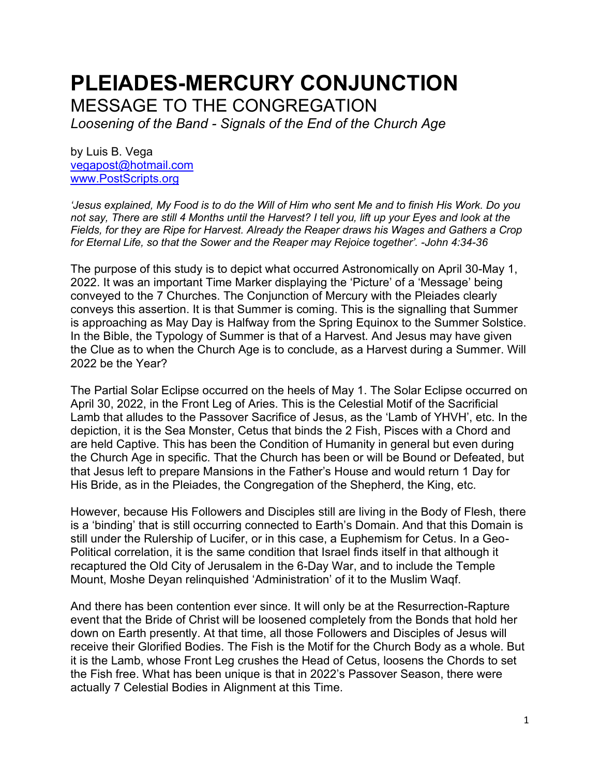# **PLEIADES-MERCURY CONJUNCTION** MESSAGE TO THE CONGREGATION

*Loosening of the Band - Signals of the End of the Church Age*

by Luis B. Vega [vegapost@hotmail.com](mailto:vegapost@hotmail.com) [www.PostScripts.org](http://www.postscripts.org/)

*'Jesus explained, My Food is to do the Will of Him who sent Me and to finish His Work. Do you not say, There are still 4 Months until the Harvest? I tell you, lift up your Eyes and look at the Fields, for they are Ripe for Harvest. Already the Reaper draws his Wages and Gathers a Crop for Eternal Life, so that the Sower and the Reaper may Rejoice together'. -John 4:34-36*

The purpose of this study is to depict what occurred Astronomically on April 30-May 1, 2022. It was an important Time Marker displaying the 'Picture' of a 'Message' being conveyed to the 7 Churches. The Conjunction of Mercury with the Pleiades clearly conveys this assertion. It is that Summer is coming. This is the signalling that Summer is approaching as May Day is Halfway from the Spring Equinox to the Summer Solstice. In the Bible, the Typology of Summer is that of a Harvest. And Jesus may have given the Clue as to when the Church Age is to conclude, as a Harvest during a Summer. Will 2022 be the Year?

The Partial Solar Eclipse occurred on the heels of May 1. The Solar Eclipse occurred on April 30, 2022, in the Front Leg of Aries. This is the Celestial Motif of the Sacrificial Lamb that alludes to the Passover Sacrifice of Jesus, as the 'Lamb of YHVH', etc. In the depiction, it is the Sea Monster, Cetus that binds the 2 Fish, Pisces with a Chord and are held Captive. This has been the Condition of Humanity in general but even during the Church Age in specific. That the Church has been or will be Bound or Defeated, but that Jesus left to prepare Mansions in the Father's House and would return 1 Day for His Bride, as in the Pleiades, the Congregation of the Shepherd, the King, etc.

However, because His Followers and Disciples still are living in the Body of Flesh, there is a 'binding' that is still occurring connected to Earth's Domain. And that this Domain is still under the Rulership of Lucifer, or in this case, a Euphemism for Cetus. In a Geo-Political correlation, it is the same condition that Israel finds itself in that although it recaptured the Old City of Jerusalem in the 6-Day War, and to include the Temple Mount, Moshe Deyan relinquished 'Administration' of it to the Muslim Waqf.

And there has been contention ever since. It will only be at the Resurrection-Rapture event that the Bride of Christ will be loosened completely from the Bonds that hold her down on Earth presently. At that time, all those Followers and Disciples of Jesus will receive their Glorified Bodies. The Fish is the Motif for the Church Body as a whole. But it is the Lamb, whose Front Leg crushes the Head of Cetus, loosens the Chords to set the Fish free. What has been unique is that in 2022's Passover Season, there were actually 7 Celestial Bodies in Alignment at this Time.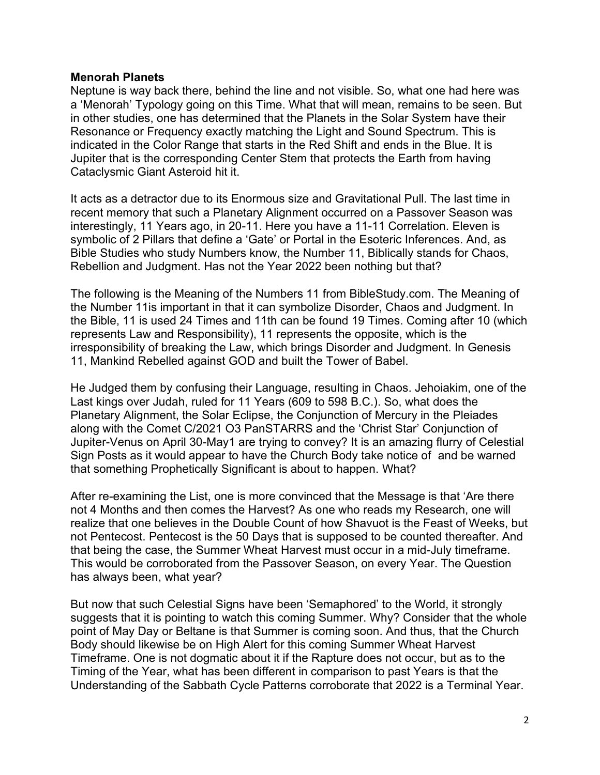## **Menorah Planets**

Neptune is way back there, behind the line and not visible. So, what one had here was a 'Menorah' Typology going on this Time. What that will mean, remains to be seen. But in other studies, one has determined that the Planets in the Solar System have their Resonance or Frequency exactly matching the Light and Sound Spectrum. This is indicated in the Color Range that starts in the Red Shift and ends in the Blue. It is Jupiter that is the corresponding Center Stem that protects the Earth from having Cataclysmic Giant Asteroid hit it.

It acts as a detractor due to its Enormous size and Gravitational Pull. The last time in recent memory that such a Planetary Alignment occurred on a Passover Season was interestingly, 11 Years ago, in 20-11. Here you have a 11-11 Correlation. Eleven is symbolic of 2 Pillars that define a 'Gate' or Portal in the Esoteric Inferences. And, as Bible Studies who study Numbers know, the Number 11, Biblically stands for Chaos, Rebellion and Judgment. Has not the Year 2022 been nothing but that?

The following is the Meaning of the Numbers 11 from BibleStudy.com. The Meaning of the Number 11is important in that it can symbolize Disorder, Chaos and Judgment. In the Bible, 11 is used 24 Times and 11th can be found 19 Times. Coming after 10 (which represents Law and Responsibility), 11 represents the opposite, which is the irresponsibility of breaking the Law, which brings Disorder and Judgment. In Genesis 11, Mankind Rebelled against GOD and built the Tower of Babel.

He Judged them by confusing their Language, resulting in Chaos. Jehoiakim, one of the Last kings over Judah, ruled for 11 Years (609 to 598 B.C.). So, what does the Planetary Alignment, the Solar Eclipse, the Conjunction of Mercury in the Pleiades along with the Comet C/2021 O3 PanSTARRS and the 'Christ Star' Conjunction of Jupiter-Venus on April 30-May1 are trying to convey? It is an amazing flurry of Celestial Sign Posts as it would appear to have the Church Body take notice of and be warned that something Prophetically Significant is about to happen. What?

After re-examining the List, one is more convinced that the Message is that 'Are there not 4 Months and then comes the Harvest? As one who reads my Research, one will realize that one believes in the Double Count of how Shavuot is the Feast of Weeks, but not Pentecost. Pentecost is the 50 Days that is supposed to be counted thereafter. And that being the case, the Summer Wheat Harvest must occur in a mid-July timeframe. This would be corroborated from the Passover Season, on every Year. The Question has always been, what year?

But now that such Celestial Signs have been 'Semaphored' to the World, it strongly suggests that it is pointing to watch this coming Summer. Why? Consider that the whole point of May Day or Beltane is that Summer is coming soon. And thus, that the Church Body should likewise be on High Alert for this coming Summer Wheat Harvest Timeframe. One is not dogmatic about it if the Rapture does not occur, but as to the Timing of the Year, what has been different in comparison to past Years is that the Understanding of the Sabbath Cycle Patterns corroborate that 2022 is a Terminal Year.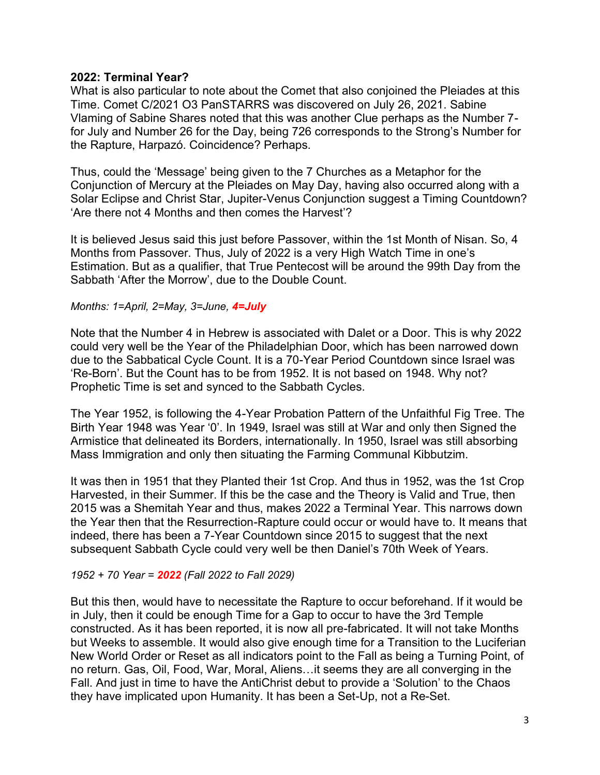# **2022: Terminal Year?**

What is also particular to note about the Comet that also conjoined the Pleiades at this Time. Comet C/2021 O3 PanSTARRS was discovered on July 26, 2021. Sabine Vlaming of Sabine Shares noted that this was another Clue perhaps as the Number 7 for July and Number 26 for the Day, being 726 corresponds to the Strong's Number for the Rapture, Harpazó. Coincidence? Perhaps.

Thus, could the 'Message' being given to the 7 Churches as a Metaphor for the Conjunction of Mercury at the Pleiades on May Day, having also occurred along with a Solar Eclipse and Christ Star, Jupiter-Venus Conjunction suggest a Timing Countdown? 'Are there not 4 Months and then comes the Harvest'?

It is believed Jesus said this just before Passover, within the 1st Month of Nisan. So, 4 Months from Passover. Thus, July of 2022 is a very High Watch Time in one's Estimation. But as a qualifier, that True Pentecost will be around the 99th Day from the Sabbath 'After the Morrow', due to the Double Count.

## *Months: 1=April, 2=May, 3=June, 4=July*

Note that the Number 4 in Hebrew is associated with Dalet or a Door. This is why 2022 could very well be the Year of the Philadelphian Door, which has been narrowed down due to the Sabbatical Cycle Count. It is a 70-Year Period Countdown since Israel was 'Re-Born'. But the Count has to be from 1952. It is not based on 1948. Why not? Prophetic Time is set and synced to the Sabbath Cycles.

The Year 1952, is following the 4-Year Probation Pattern of the Unfaithful Fig Tree. The Birth Year 1948 was Year '0'. In 1949, Israel was still at War and only then Signed the Armistice that delineated its Borders, internationally. In 1950, Israel was still absorbing Mass Immigration and only then situating the Farming Communal Kibbutzim.

It was then in 1951 that they Planted their 1st Crop. And thus in 1952, was the 1st Crop Harvested, in their Summer. If this be the case and the Theory is Valid and True, then 2015 was a Shemitah Year and thus, makes 2022 a Terminal Year. This narrows down the Year then that the Resurrection-Rapture could occur or would have to. It means that indeed, there has been a 7-Year Countdown since 2015 to suggest that the next subsequent Sabbath Cycle could very well be then Daniel's 70th Week of Years.

## *1952 + 70 Year = 2022 (Fall 2022 to Fall 2029)*

But this then, would have to necessitate the Rapture to occur beforehand. If it would be in July, then it could be enough Time for a Gap to occur to have the 3rd Temple constructed. As it has been reported, it is now all pre-fabricated. It will not take Months but Weeks to assemble. It would also give enough time for a Transition to the Luciferian New World Order or Reset as all indicators point to the Fall as being a Turning Point, of no return. Gas, Oil, Food, War, Moral, Aliens…it seems they are all converging in the Fall. And just in time to have the AntiChrist debut to provide a 'Solution' to the Chaos they have implicated upon Humanity. It has been a Set-Up, not a Re-Set.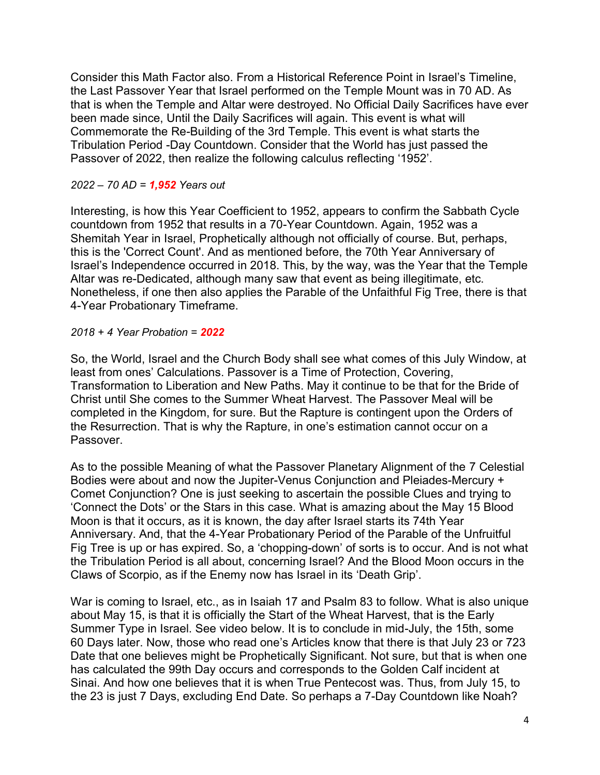Consider this Math Factor also. From a Historical Reference Point in Israel's Timeline, the Last Passover Year that Israel performed on the Temple Mount was in 70 AD. As that is when the Temple and Altar were destroyed. No Official Daily Sacrifices have ever been made since, Until the Daily Sacrifices will again. This event is what will Commemorate the Re-Building of the 3rd Temple. This event is what starts the Tribulation Period -Day Countdown. Consider that the World has just passed the Passover of 2022, then realize the following calculus reflecting '1952'.

# *2022 – 70 AD = 1,952 Years out*

Interesting, is how this Year Coefficient to 1952, appears to confirm the Sabbath Cycle countdown from 1952 that results in a 70-Year Countdown. Again, 1952 was a Shemitah Year in Israel, Prophetically although not officially of course. But, perhaps, this is the 'Correct Count'. And as mentioned before, the 70th Year Anniversary of Israel's Independence occurred in 2018. This, by the way, was the Year that the Temple Altar was re-Dedicated, although many saw that event as being illegitimate, etc. Nonetheless, if one then also applies the Parable of the Unfaithful Fig Tree, there is that 4-Year Probationary Timeframe.

# *2018 + 4 Year Probation = 2022*

So, the World, Israel and the Church Body shall see what comes of this July Window, at least from ones' Calculations. Passover is a Time of Protection, Covering, Transformation to Liberation and New Paths. May it continue to be that for the Bride of Christ until She comes to the Summer Wheat Harvest. The Passover Meal will be completed in the Kingdom, for sure. But the Rapture is contingent upon the Orders of the Resurrection. That is why the Rapture, in one's estimation cannot occur on a Passover.

As to the possible Meaning of what the Passover Planetary Alignment of the 7 Celestial Bodies were about and now the Jupiter-Venus Conjunction and Pleiades-Mercury + Comet Conjunction? One is just seeking to ascertain the possible Clues and trying to 'Connect the Dots' or the Stars in this case. What is amazing about the May 15 Blood Moon is that it occurs, as it is known, the day after Israel starts its 74th Year Anniversary. And, that the 4-Year Probationary Period of the Parable of the Unfruitful Fig Tree is up or has expired. So, a 'chopping-down' of sorts is to occur. And is not what the Tribulation Period is all about, concerning Israel? And the Blood Moon occurs in the Claws of Scorpio, as if the Enemy now has Israel in its 'Death Grip'.

War is coming to Israel, etc., as in Isaiah 17 and Psalm 83 to follow. What is also unique about May 15, is that it is officially the Start of the Wheat Harvest, that is the Early Summer Type in Israel. See video below. It is to conclude in mid-July, the 15th, some 60 Days later. Now, those who read one's Articles know that there is that July 23 or 723 Date that one believes might be Prophetically Significant. Not sure, but that is when one has calculated the 99th Day occurs and corresponds to the Golden Calf incident at Sinai. And how one believes that it is when True Pentecost was. Thus, from July 15, to the 23 is just 7 Days, excluding End Date. So perhaps a 7-Day Countdown like Noah?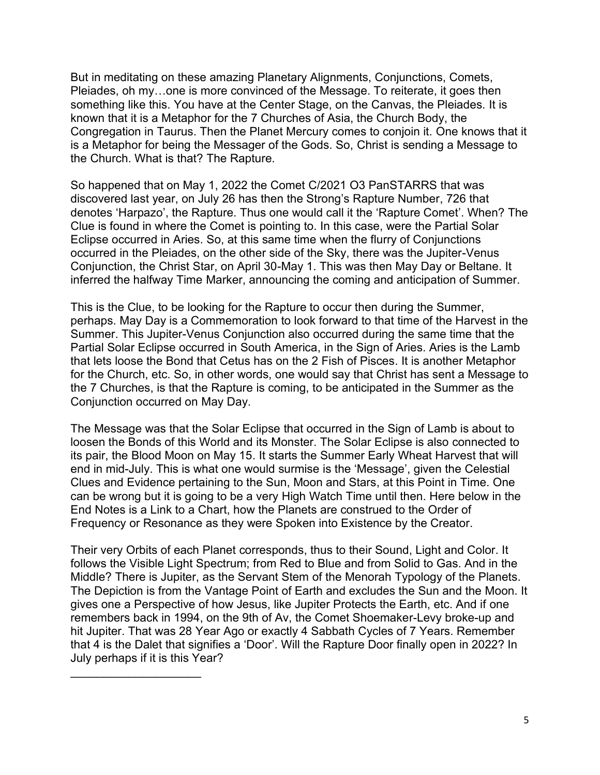But in meditating on these amazing Planetary Alignments, Conjunctions, Comets, Pleiades, oh my…one is more convinced of the Message. To reiterate, it goes then something like this. You have at the Center Stage, on the Canvas, the Pleiades. It is known that it is a Metaphor for the 7 Churches of Asia, the Church Body, the Congregation in Taurus. Then the Planet Mercury comes to conjoin it. One knows that it is a Metaphor for being the Messager of the Gods. So, Christ is sending a Message to the Church. What is that? The Rapture.

So happened that on May 1, 2022 the Comet C/2021 O3 PanSTARRS that was discovered last year, on July 26 has then the Strong's Rapture Number, 726 that denotes 'Harpazo', the Rapture. Thus one would call it the 'Rapture Comet'. When? The Clue is found in where the Comet is pointing to. In this case, were the Partial Solar Eclipse occurred in Aries. So, at this same time when the flurry of Conjunctions occurred in the Pleiades, on the other side of the Sky, there was the Jupiter-Venus Conjunction, the Christ Star, on April 30-May 1. This was then May Day or Beltane. It inferred the halfway Time Marker, announcing the coming and anticipation of Summer.

This is the Clue, to be looking for the Rapture to occur then during the Summer, perhaps. May Day is a Commemoration to look forward to that time of the Harvest in the Summer. This Jupiter-Venus Conjunction also occurred during the same time that the Partial Solar Eclipse occurred in South America, in the Sign of Aries. Aries is the Lamb that lets loose the Bond that Cetus has on the 2 Fish of Pisces. It is another Metaphor for the Church, etc. So, in other words, one would say that Christ has sent a Message to the 7 Churches, is that the Rapture is coming, to be anticipated in the Summer as the Conjunction occurred on May Day.

The Message was that the Solar Eclipse that occurred in the Sign of Lamb is about to loosen the Bonds of this World and its Monster. The Solar Eclipse is also connected to its pair, the Blood Moon on May 15. It starts the Summer Early Wheat Harvest that will end in mid-July. This is what one would surmise is the 'Message', given the Celestial Clues and Evidence pertaining to the Sun, Moon and Stars, at this Point in Time. One can be wrong but it is going to be a very High Watch Time until then. Here below in the End Notes is a Link to a Chart, how the Planets are construed to the Order of Frequency or Resonance as they were Spoken into Existence by the Creator.

Their very Orbits of each Planet corresponds, thus to their Sound, Light and Color. It follows the Visible Light Spectrum; from Red to Blue and from Solid to Gas. And in the Middle? There is Jupiter, as the Servant Stem of the Menorah Typology of the Planets. The Depiction is from the Vantage Point of Earth and excludes the Sun and the Moon. It gives one a Perspective of how Jesus, like Jupiter Protects the Earth, etc. And if one remembers back in 1994, on the 9th of Av, the Comet Shoemaker-Levy broke-up and hit Jupiter. That was 28 Year Ago or exactly 4 Sabbath Cycles of 7 Years. Remember that 4 is the Dalet that signifies a 'Door'. Will the Rapture Door finally open in 2022? In July perhaps if it is this Year?

 $\mathcal{L}_\text{max}$  , where  $\mathcal{L}_\text{max}$  , we have the set of  $\mathcal{L}_\text{max}$